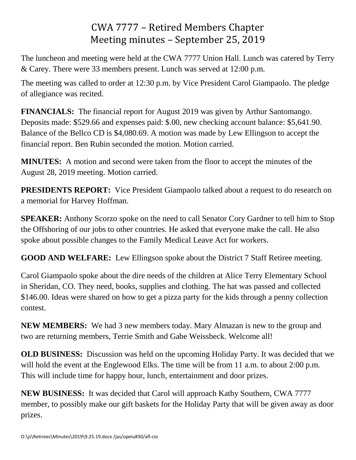## CWA 7777 – Retired Members Chapter Meeting minutes – September 25, 2019

The luncheon and meeting were held at the CWA 7777 Union Hall. Lunch was catered by Terry & Carey. There were 33 members present. Lunch was served at 12:00 p.m.

The meeting was called to order at 12:30 p.m. by Vice President Carol Giampaolo. The pledge of allegiance was recited.

**FINANCIALS:** The financial report for August 2019 was given by Arthur Santomango. Deposits made: \$529.66 and expenses paid: \$.00, new checking account balance: \$5,641.90. Balance of the Bellco CD is \$4,080.69. A motion was made by Lew Ellingson to accept the financial report. Ben Rubin seconded the motion. Motion carried.

**MINUTES:** A motion and second were taken from the floor to accept the minutes of the August 28, 2019 meeting. Motion carried.

**PRESIDENTS REPORT:** Vice President Giampaolo talked about a request to do research on a memorial for Harvey Hoffman.

**SPEAKER:** Anthony Scorzo spoke on the need to call Senator Cory Gardner to tell him to Stop the Offshoring of our jobs to other countries. He asked that everyone make the call. He also spoke about possible changes to the Family Medical Leave Act for workers.

**GOOD AND WELFARE:** Lew Ellingson spoke about the District 7 Staff Retiree meeting.

Carol Giampaolo spoke about the dire needs of the children at Alice Terry Elementary School in Sheridan, CO. They need, books, supplies and clothing. The hat was passed and collected \$146.00. Ideas were shared on how to get a pizza party for the kids through a penny collection contest.

**NEW MEMBERS:** We had 3 new members today. Mary Almazan is new to the group and two are returning members, Terrie Smith and Gabe Weissbeck. Welcome all!

**OLD BUSINESS:** Discussion was held on the upcoming Holiday Party. It was decided that we will hold the event at the Englewood Elks. The time will be from 11 a.m. to about 2:00 p.m. This will include time for happy hour, lunch, entertainment and door prizes.

**NEW BUSINESS:** It was decided that Carol will approach Kathy Southern, CWA 7777 member, to possibly make our gift baskets for the Holiday Party that will be given away as door prizes.